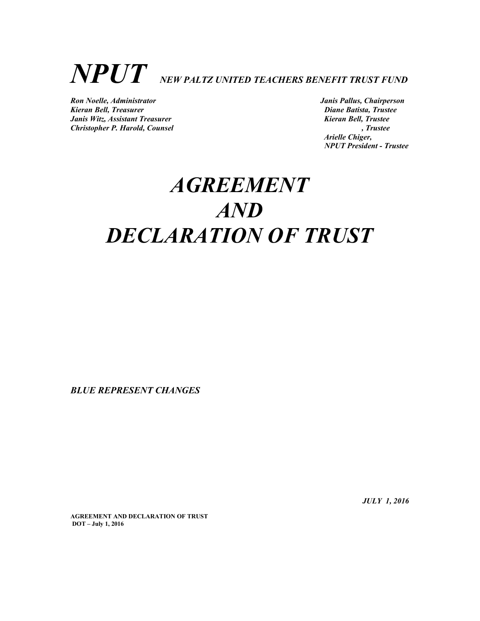# $\boldsymbol{NPUT}$  NEW PALTZ UNITED TEACHERS BENEFIT TRUST FUND

Ron Noelle, Administrator Janis Pallus, Chairperson Kieran Bell, Treasurer and European Communications and Diane Batista, Trustee Janis Witz, Assistant Treasurer and Electronic Review of the Number of Trustee Christopher P. Harold, Counsel Christopher P. Harold, Counsel

 Arielle Chiger, NPUT President - Trustee

## **AGREEMENT** AND DECLARATION OF TRUST

BLUE REPRESENT CHANGES

JULY 1, 2016

AGREEMENT AND DECLARATION OF TRUST DOT – July 1, 2016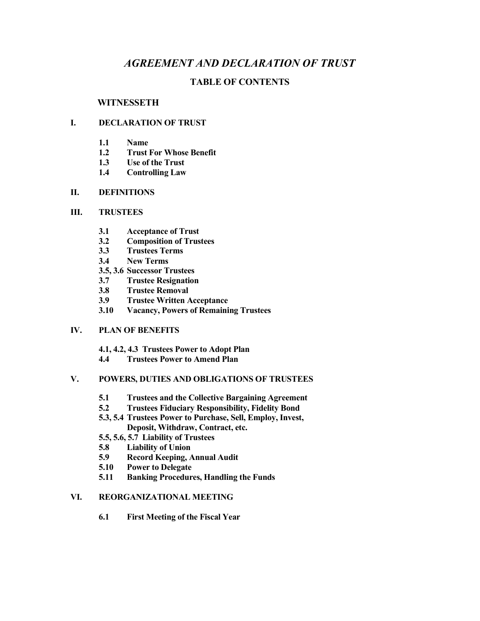#### AGREEMENT AND DECLARATION OF TRUST

#### TABLE OF CONTENTS

#### **WITNESSETH**

#### I. DECLARATION OF TRUST

- 1.1 Name
- 1.2 Trust For Whose Benefit
- 1.3 Use of the Trust
- 1.4 Controlling Law

#### II. DEFINITIONS

#### III. TRUSTEES

- 3.1 Acceptance of Trust
- 3.2 Composition of Trustees
- 3.3 Trustees Terms
- 3.4 New Terms
- 3.5, 3.6 Successor Trustees
- 3.7 Trustee Resignation
- 3.8 Trustee Removal
- 3.9 Trustee Written Acceptance
- 3.10 Vacancy, Powers of Remaining Trustees

#### IV. PLAN OF BENEFITS

4.1, 4.2, 4.3 Trustees Power to Adopt Plan

4.4 Trustees Power to Amend Plan

#### V. POWERS, DUTIES AND OBLIGATIONS OF TRUSTEES

- 5.1 Trustees and the Collective Bargaining Agreement
- 5.2 Trustees Fiduciary Responsibility, Fidelity Bond
- 5.3, 5.4 Trustees Power to Purchase, Sell, Employ, Invest, Deposit, Withdraw, Contract, etc.
- 5.5, 5.6, 5.7 Liability of Trustees
- 5.8 Liability of Union
- 5.9 Record Keeping, Annual Audit
- 5.10 Power to Delegate
- 5.11 Banking Procedures, Handling the Funds

#### VI. REORGANIZATIONAL MEETING

6.1 First Meeting of the Fiscal Year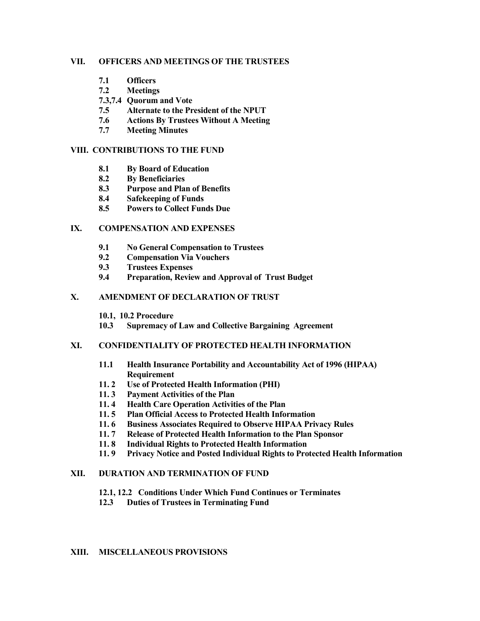#### VII. OFFICERS AND MEETINGS OF THE TRUSTEES

- 7.1 Officers
- 7.2 Meetings
- 7.3,7.4 Quorum and Vote
- 7.5 Alternate to the President of the NPUT
- 7.6 Actions By Trustees Without A Meeting
- 7.7 Meeting Minutes

#### VIII. CONTRIBUTIONS TO THE FUND

- 8.1 By Board of Education
- 8.2 By Beneficiaries
- 8.3 Purpose and Plan of Benefits
- 8.4 Safekeeping of Funds
- 8.5 Powers to Collect Funds Due

#### IX. COMPENSATION AND EXPENSES

- 9.1 No General Compensation to Trustees
- 9.2 Compensation Via Vouchers
- 9.3 Trustees Expenses
- 9.4 Preparation, Review and Approval of Trust Budget

#### X. AMENDMENT OF DECLARATION OF TRUST

- 10.1, 10.2 Procedure
- 10.3 Supremacy of Law and Collective Bargaining Agreement

#### XI. CONFIDENTIALITY OF PROTECTED HEALTH INFORMATION

- 11.1 Health Insurance Portability and Accountability Act of 1996 (HIPAA) Requirement
- 11. 2 Use of Protected Health Information (PHI)
- 11. 3 Payment Activities of the Plan
- 11. 4 Health Care Operation Activities of the Plan
- 11. 5 Plan Official Access to Protected Health Information
- 11. 6 Business Associates Required to Observe HIPAA Privacy Rules
- 11. 7 Release of Protected Health Information to the Plan Sponsor
- 11. 8 Individual Rights to Protected Health Information
- 11. 9 Privacy Notice and Posted Individual Rights to Protected Health Information

#### XII. DURATION AND TERMINATION OF FUND

- 12.1, 12.2 Conditions Under Which Fund Continues or Terminates
- 12.3 Duties of Trustees in Terminating Fund

#### XIII. MISCELLANEOUS PROVISIONS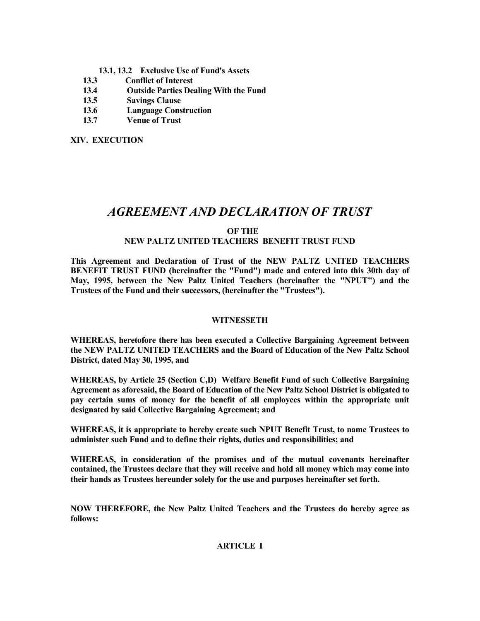- 13.1, 13.2 Exclusive Use of Fund's Assets
- 13.3 Conflict of Interest
- 13.4 Outside Parties Dealing With the Fund
- 13.5 Savings Clause
- 13.6 Language Construction
- 13.7 Venue of Trust

XIV. EXECUTION

### AGREEMENT AND DECLARATION OF TRUST

#### OF THE NEW PALTZ UNITED TEACHERS BENEFIT TRUST FUND

This Agreement and Declaration of Trust of the NEW PALTZ UNITED TEACHERS BENEFIT TRUST FUND (hereinafter the "Fund") made and entered into this 30th day of May, 1995, between the New Paltz United Teachers (hereinafter the "NPUT") and the Trustees of the Fund and their successors, (hereinafter the "Trustees").

#### WITNESSETH

WHEREAS, heretofore there has been executed a Collective Bargaining Agreement between the NEW PALTZ UNITED TEACHERS and the Board of Education of the New Paltz School District, dated May 30, 1995, and

WHEREAS, by Article 25 (Section C,D) Welfare Benefit Fund of such Collective Bargaining Agreement as aforesaid, the Board of Education of the New Paltz School District is obligated to pay certain sums of money for the benefit of all employees within the appropriate unit designated by said Collective Bargaining Agreement; and

WHEREAS, it is appropriate to hereby create such NPUT Benefit Trust, to name Trustees to administer such Fund and to define their rights, duties and responsibilities; and

WHEREAS, in consideration of the promises and of the mutual covenants hereinafter contained, the Trustees declare that they will receive and hold all money which may come into their hands as Trustees hereunder solely for the use and purposes hereinafter set forth.

NOW THEREFORE, the New Paltz United Teachers and the Trustees do hereby agree as follows:

#### ARTICLE I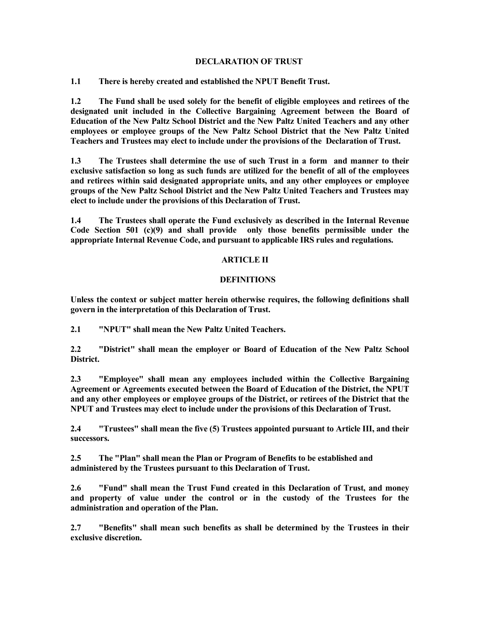#### DECLARATION OF TRUST

1.1 There is hereby created and established the NPUT Benefit Trust.

1.2 The Fund shall be used solely for the benefit of eligible employees and retirees of the designated unit included in the Collective Bargaining Agreement between the Board of Education of the New Paltz School District and the New Paltz United Teachers and any other employees or employee groups of the New Paltz School District that the New Paltz United Teachers and Trustees may elect to include under the provisions of the Declaration of Trust.

1.3 The Trustees shall determine the use of such Trust in a form and manner to their exclusive satisfaction so long as such funds are utilized for the benefit of all of the employees and retirees within said designated appropriate units, and any other employees or employee groups of the New Paltz School District and the New Paltz United Teachers and Trustees may elect to include under the provisions of this Declaration of Trust.

1.4 The Trustees shall operate the Fund exclusively as described in the Internal Revenue Code Section 501 (c)(9) and shall provide only those benefits permissible under the appropriate Internal Revenue Code, and pursuant to applicable IRS rules and regulations.

#### ARTICLE II

#### DEFINITIONS

Unless the context or subject matter herein otherwise requires, the following definitions shall govern in the interpretation of this Declaration of Trust.

2.1 "NPUT" shall mean the New Paltz United Teachers.

2.2 "District" shall mean the employer or Board of Education of the New Paltz School District.

2.3 "Employee" shall mean any employees included within the Collective Bargaining Agreement or Agreements executed between the Board of Education of the District, the NPUT and any other employees or employee groups of the District, or retirees of the District that the NPUT and Trustees may elect to include under the provisions of this Declaration of Trust.

2.4 "Trustees" shall mean the five (5) Trustees appointed pursuant to Article III, and their successors.

2.5 The "Plan" shall mean the Plan or Program of Benefits to be established and administered by the Trustees pursuant to this Declaration of Trust.

2.6 "Fund" shall mean the Trust Fund created in this Declaration of Trust, and money and property of value under the control or in the custody of the Trustees for the administration and operation of the Plan.

2.7 "Benefits" shall mean such benefits as shall be determined by the Trustees in their exclusive discretion.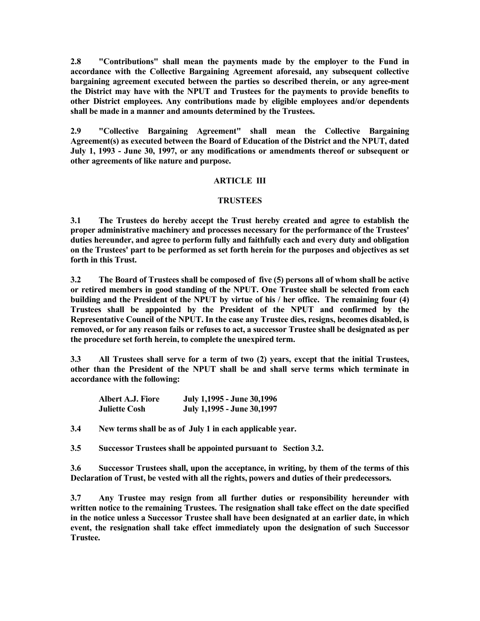2.8 "Contributions" shall mean the payments made by the employer to the Fund in accordance with the Collective Bargaining Agreement aforesaid, any subsequent collective bargaining agreement executed between the parties so described therein, or any agree-ment the District may have with the NPUT and Trustees for the payments to provide benefits to other District employees. Any contributions made by eligible employees and/or dependents shall be made in a manner and amounts determined by the Trustees.

2.9 "Collective Bargaining Agreement" shall mean the Collective Bargaining Agreement(s) as executed between the Board of Education of the District and the NPUT, dated July 1, 1993 - June 30, 1997, or any modifications or amendments thereof or subsequent or other agreements of like nature and purpose.

#### **ARTICLE III**

#### TRUSTEES

3.1 The Trustees do hereby accept the Trust hereby created and agree to establish the proper administrative machinery and processes necessary for the performance of the Trustees' duties hereunder, and agree to perform fully and faithfully each and every duty and obligation on the Trustees' part to be performed as set forth herein for the purposes and objectives as set forth in this Trust.

3.2 The Board of Trustees shall be composed of five (5) persons all of whom shall be active or retired members in good standing of the NPUT. One Trustee shall be selected from each building and the President of the NPUT by virtue of his / her office. The remaining four (4) Trustees shall be appointed by the President of the NPUT and confirmed by the Representative Council of the NPUT. In the case any Trustee dies, resigns, becomes disabled, is removed, or for any reason fails or refuses to act, a successor Trustee shall be designated as per the procedure set forth herein, to complete the unexpired term.

3.3 All Trustees shall serve for a term of two (2) years, except that the initial Trustees, other than the President of the NPUT shall be and shall serve terms which terminate in accordance with the following:

| Albert A.J. Fiore    | July 1,1995 - June 30,1996 |
|----------------------|----------------------------|
| <b>Juliette Cosh</b> | July 1,1995 - June 30,1997 |

3.4 New terms shall be as of July 1 in each applicable year.

3.5 Successor Trustees shall be appointed pursuant to Section 3.2.

3.6 Successor Trustees shall, upon the acceptance, in writing, by them of the terms of this Declaration of Trust, be vested with all the rights, powers and duties of their predecessors.

3.7 Any Trustee may resign from all further duties or responsibility hereunder with written notice to the remaining Trustees. The resignation shall take effect on the date specified in the notice unless a Successor Trustee shall have been designated at an earlier date, in which event, the resignation shall take effect immediately upon the designation of such Successor Trustee.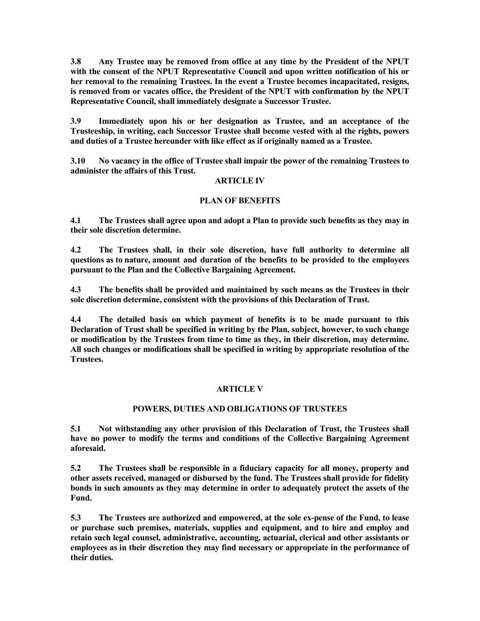3.8 Any Trustee may be removed from office at any time by the President of the NPUT with the consent of the NPUT Representative Council and upon written notification of his or her removal to the remaining Trustees. In the event a Trustee becomes incapacitated, resigns, is removed from or vacates office, the President of the NPUT with confirmation by the NPUT Representative Council, shall immediately designate a Successor Trustee.

3.9 Immediately upon his or her designation as Trustee, and an acceptance of the Trusteeship, in writing, each Successor Trustee shall become vested with al the rights, powers and duties of a Trustee hereunder with like effect as if originally named as a Trustee.

3.10 No vacancy in the office of Trustee shall impair the power of the remaining Trustees to administer the affairs of this Trust.

#### ARTICLE IV

#### PLAN OF BENEFITS

4.1 The Trustees shall agree upon and adopt a Plan to provide such benefits as they may in their sole discretion determine.

4.2 The Trustees shall, in their sole discretion, have full authority to determine all questions as to nature, amount and duration of the benefits to be provided to the employees pursuant to the Plan and the Collective Bargaining Agreement.

4.3 The benefits shall be provided and maintained by such means as the Trustees in their sole discretion determine, consistent with the provisions of this Declaration of Trust.

4.4 The detailed basis on which payment of benefits is to be made pursuant to this Declaration of Trust shall be specified in writing by the Plan, subject, however, to such change or modification by the Trustees from time to time as they, in their discretion, may determine. All such changes or modifications shall be specified in writing by appropriate resolution of the Trustees.

#### ARTICLE V

#### POWERS, DUTIES AND OBLIGATIONS OF TRUSTEES

5.1 Not withstanding any other provision of this Declaration of Trust, the Trustees shall have no power to modify the terms and conditions of the Collective Bargaining Agreement aforesaid.

5.2 The Trustees shall be responsible in a fiduciary capacity for all money, property and other assets received, managed or disbursed by the fund. The Trustees shall provide for fidelity bonds in such amounts as they may determine in order to adequately protect the assets of the Fund.

5.3 The Trustees are authorized and empowered, at the sole ex-pense of the Fund, to lease or purchase such premises, materials, supplies and equipment, and to hire and employ and retain such legal counsel, administrative, accounting, actuarial, clerical and other assistants or employees as in their discretion they may find necessary or appropriate in the performance of their duties.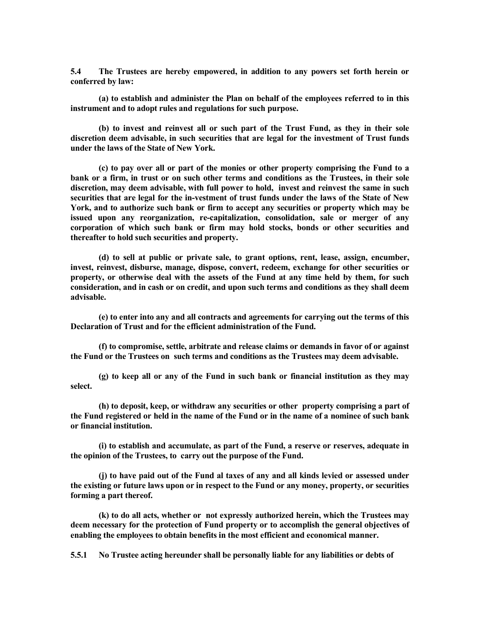5.4 The Trustees are hereby empowered, in addition to any powers set forth herein or conferred by law:

 (a) to establish and administer the Plan on behalf of the employees referred to in this instrument and to adopt rules and regulations for such purpose.

 (b) to invest and reinvest all or such part of the Trust Fund, as they in their sole discretion deem advisable, in such securities that are legal for the investment of Trust funds under the laws of the State of New York.

 (c) to pay over all or part of the monies or other property comprising the Fund to a bank or a firm, in trust or on such other terms and conditions as the Trustees, in their sole discretion, may deem advisable, with full power to hold, invest and reinvest the same in such securities that are legal for the in-vestment of trust funds under the laws of the State of New York, and to authorize such bank or firm to accept any securities or property which may be issued upon any reorganization, re-capitalization, consolidation, sale or merger of any corporation of which such bank or firm may hold stocks, bonds or other securities and thereafter to hold such securities and property.

 (d) to sell at public or private sale, to grant options, rent, lease, assign, encumber, invest, reinvest, disburse, manage, dispose, convert, redeem, exchange for other securities or property, or otherwise deal with the assets of the Fund at any time held by them, for such consideration, and in cash or on credit, and upon such terms and conditions as they shall deem advisable.

 (e) to enter into any and all contracts and agreements for carrying out the terms of this Declaration of Trust and for the efficient administration of the Fund.

 (f) to compromise, settle, arbitrate and release claims or demands in favor of or against the Fund or the Trustees on such terms and conditions as the Trustees may deem advisable.

 (g) to keep all or any of the Fund in such bank or financial institution as they may select.

 (h) to deposit, keep, or withdraw any securities or other property comprising a part of the Fund registered or held in the name of the Fund or in the name of a nominee of such bank or financial institution.

 (i) to establish and accumulate, as part of the Fund, a reserve or reserves, adequate in the opinion of the Trustees, to carry out the purpose of the Fund.

 (j) to have paid out of the Fund al taxes of any and all kinds levied or assessed under the existing or future laws upon or in respect to the Fund or any money, property, or securities forming a part thereof.

 (k) to do all acts, whether or not expressly authorized herein, which the Trustees may deem necessary for the protection of Fund property or to accomplish the general objectives of enabling the employees to obtain benefits in the most efficient and economical manner.

5.5.1 No Trustee acting hereunder shall be personally liable for any liabilities or debts of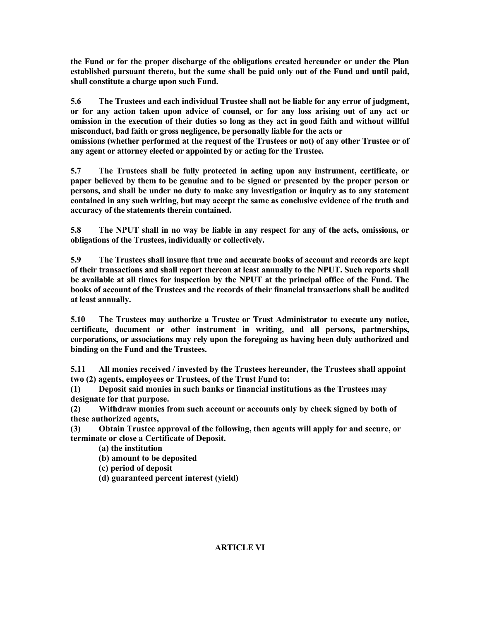the Fund or for the proper discharge of the obligations created hereunder or under the Plan established pursuant thereto, but the same shall be paid only out of the Fund and until paid, shall constitute a charge upon such Fund.

5.6 The Trustees and each individual Trustee shall not be liable for any error of judgment, or for any action taken upon advice of counsel, or for any loss arising out of any act or omission in the execution of their duties so long as they act in good faith and without willful misconduct, bad faith or gross negligence, be personally liable for the acts or omissions (whether performed at the request of the Trustees or not) of any other Trustee or of

any agent or attorney elected or appointed by or acting for the Trustee.

5.7 The Trustees shall be fully protected in acting upon any instrument, certificate, or paper believed by them to be genuine and to be signed or presented by the proper person or persons, and shall be under no duty to make any investigation or inquiry as to any statement contained in any such writing, but may accept the same as conclusive evidence of the truth and accuracy of the statements therein contained.

5.8 The NPUT shall in no way be liable in any respect for any of the acts, omissions, or obligations of the Trustees, individually or collectively.

5.9 The Trustees shall insure that true and accurate books of account and records are kept of their transactions and shall report thereon at least annually to the NPUT. Such reports shall be available at all times for inspection by the NPUT at the principal office of the Fund. The books of account of the Trustees and the records of their financial transactions shall be audited at least annually.

5.10 The Trustees may authorize a Trustee or Trust Administrator to execute any notice, certificate, document or other instrument in writing, and all persons, partnerships, corporations, or associations may rely upon the foregoing as having been duly authorized and binding on the Fund and the Trustees.

5.11 All monies received / invested by the Trustees hereunder, the Trustees shall appoint two (2) agents, employees or Trustees, of the Trust Fund to:

(1) Deposit said monies in such banks or financial institutions as the Trustees may designate for that purpose.

(2) Withdraw monies from such account or accounts only by check signed by both of these authorized agents,

(3) Obtain Trustee approval of the following, then agents will apply for and secure, or terminate or close a Certificate of Deposit.

(a) the institution

(b) amount to be deposited

(c) period of deposit

(d) guaranteed percent interest (yield)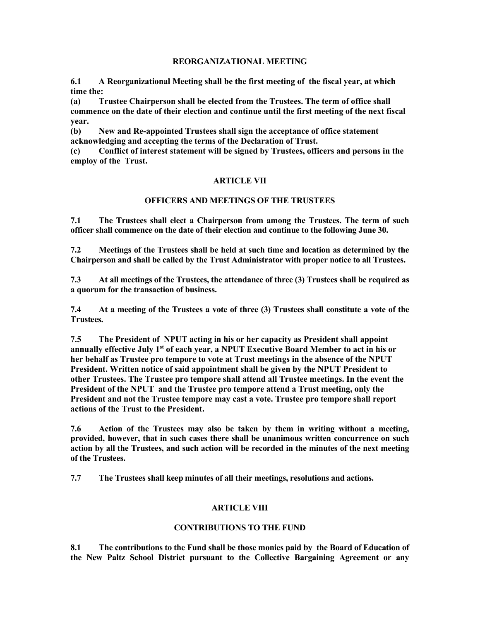#### REORGANIZATIONAL MEETING

6.1 A Reorganizational Meeting shall be the first meeting of the fiscal year, at which time the:

(a) Trustee Chairperson shall be elected from the Trustees. The term of office shall commence on the date of their election and continue until the first meeting of the next fiscal year.

(b) New and Re-appointed Trustees shall sign the acceptance of office statement acknowledging and accepting the terms of the Declaration of Trust.

(c) Conflict of interest statement will be signed by Trustees, officers and persons in the employ of the Trust.

#### ARTICLE VII

#### OFFICERS AND MEETINGS OF THE TRUSTEES

7.1 The Trustees shall elect a Chairperson from among the Trustees. The term of such officer shall commence on the date of their election and continue to the following June 30.

7.2 Meetings of the Trustees shall be held at such time and location as determined by the Chairperson and shall be called by the Trust Administrator with proper notice to all Trustees.

7.3 At all meetings of the Trustees, the attendance of three (3) Trustees shall be required as a quorum for the transaction of business.

7.4 At a meeting of the Trustees a vote of three (3) Trustees shall constitute a vote of the Trustees.

7.5 The President of NPUT acting in his or her capacity as President shall appoint annually effective July 1<sup>st</sup> of each year, a NPUT Executive Board Member to act in his or her behalf as Trustee pro tempore to vote at Trust meetings in the absence of the NPUT President. Written notice of said appointment shall be given by the NPUT President to other Trustees. The Trustee pro tempore shall attend all Trustee meetings. In the event the President of the NPUT and the Trustee pro tempore attend a Trust meeting, only the President and not the Trustee tempore may cast a vote. Trustee pro tempore shall report actions of the Trust to the President.

7.6 Action of the Trustees may also be taken by them in writing without a meeting, provided, however, that in such cases there shall be unanimous written concurrence on such action by all the Trustees, and such action will be recorded in the minutes of the next meeting of the Trustees.

7.7 The Trustees shall keep minutes of all their meetings, resolutions and actions.

#### ARTICLE VIII

#### CONTRIBUTIONS TO THE FUND

8.1 The contributions to the Fund shall be those monies paid by the Board of Education of the New Paltz School District pursuant to the Collective Bargaining Agreement or any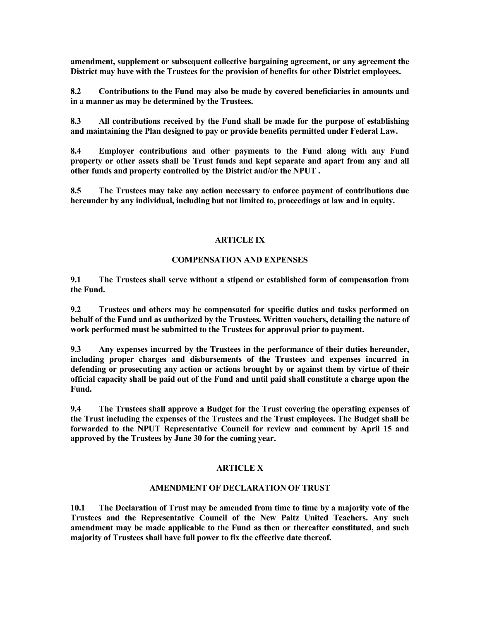amendment, supplement or subsequent collective bargaining agreement, or any agreement the District may have with the Trustees for the provision of benefits for other District employees.

8.2 Contributions to the Fund may also be made by covered beneficiaries in amounts and in a manner as may be determined by the Trustees.

8.3 All contributions received by the Fund shall be made for the purpose of establishing and maintaining the Plan designed to pay or provide benefits permitted under Federal Law.

8.4 Employer contributions and other payments to the Fund along with any Fund property or other assets shall be Trust funds and kept separate and apart from any and all other funds and property controlled by the District and/or the NPUT .

8.5 The Trustees may take any action necessary to enforce payment of contributions due hereunder by any individual, including but not limited to, proceedings at law and in equity.

#### ARTICLE IX

#### COMPENSATION AND EXPENSES

9.1 The Trustees shall serve without a stipend or established form of compensation from the Fund.

9.2 Trustees and others may be compensated for specific duties and tasks performed on behalf of the Fund and as authorized by the Trustees. Written vouchers, detailing the nature of work performed must be submitted to the Trustees for approval prior to payment.

9.3 Any expenses incurred by the Trustees in the performance of their duties hereunder, including proper charges and disbursements of the Trustees and expenses incurred in defending or prosecuting any action or actions brought by or against them by virtue of their official capacity shall be paid out of the Fund and until paid shall constitute a charge upon the Fund.

9.4 The Trustees shall approve a Budget for the Trust covering the operating expenses of the Trust including the expenses of the Trustees and the Trust employees. The Budget shall be forwarded to the NPUT Representative Council for review and comment by April 15 and approved by the Trustees by June 30 for the coming year.

#### ARTICLE X

#### AMENDMENT OF DECLARATION OF TRUST

10.1 The Declaration of Trust may be amended from time to time by a majority vote of the Trustees and the Representative Council of the New Paltz United Teachers. Any such amendment may be made applicable to the Fund as then or thereafter constituted, and such majority of Trustees shall have full power to fix the effective date thereof.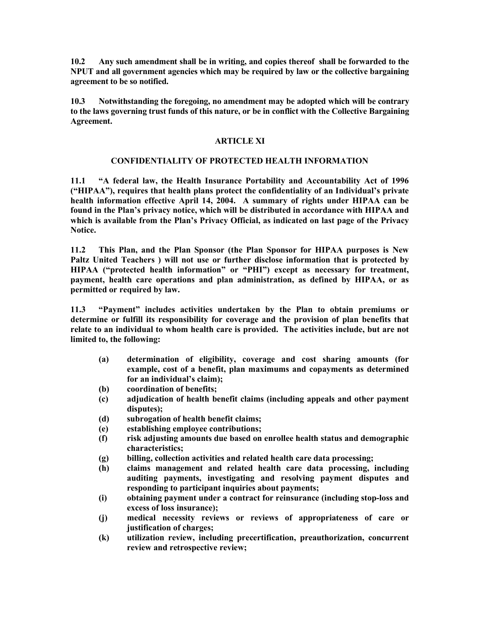10.2 Any such amendment shall be in writing, and copies thereof shall be forwarded to the NPUT and all government agencies which may be required by law or the collective bargaining agreement to be so notified.

10.3 Notwithstanding the foregoing, no amendment may be adopted which will be contrary to the laws governing trust funds of this nature, or be in conflict with the Collective Bargaining Agreement.

#### ARTICLE XI

#### CONFIDENTIALITY OF PROTECTED HEALTH INFORMATION

11.1 "A federal law, the Health Insurance Portability and Accountability Act of 1996 ("HIPAA"), requires that health plans protect the confidentiality of an Individual's private health information effective April 14, 2004. A summary of rights under HIPAA can be found in the Plan's privacy notice, which will be distributed in accordance with HIPAA and which is available from the Plan's Privacy Official, as indicated on last page of the Privacy Notice.

11.2 This Plan, and the Plan Sponsor (the Plan Sponsor for HIPAA purposes is New Paltz United Teachers ) will not use or further disclose information that is protected by HIPAA ("protected health information" or "PHI") except as necessary for treatment, payment, health care operations and plan administration, as defined by HIPAA, or as permitted or required by law.

11.3 "Payment" includes activities undertaken by the Plan to obtain premiums or determine or fulfill its responsibility for coverage and the provision of plan benefits that relate to an individual to whom health care is provided. The activities include, but are not limited to, the following:

- (a) determination of eligibility, coverage and cost sharing amounts (for example, cost of a benefit, plan maximums and copayments as determined for an individual's claim);
- (b) coordination of benefits;
- (c) adjudication of health benefit claims (including appeals and other payment disputes);
- (d) subrogation of health benefit claims;
- (e) establishing employee contributions;
- (f) risk adjusting amounts due based on enrollee health status and demographic characteristics;
- (g) billing, collection activities and related health care data processing;
- (h) claims management and related health care data processing, including auditing payments, investigating and resolving payment disputes and responding to participant inquiries about payments;
- (i) obtaining payment under a contract for reinsurance (including stop-loss and excess of loss insurance);
- (j) medical necessity reviews or reviews of appropriateness of care or justification of charges:
- (k) utilization review, including precertification, preauthorization, concurrent review and retrospective review;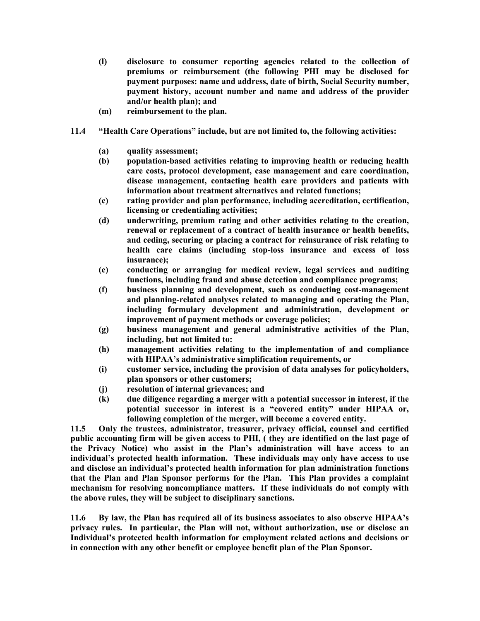- (l) disclosure to consumer reporting agencies related to the collection of premiums or reimbursement (the following PHI may be disclosed for payment purposes: name and address, date of birth, Social Security number, payment history, account number and name and address of the provider and/or health plan); and
- (m) reimbursement to the plan.
- 11.4 "Health Care Operations" include, but are not limited to, the following activities:
	- (a) quality assessment;
	- (b) population-based activities relating to improving health or reducing health care costs, protocol development, case management and care coordination, disease management, contacting health care providers and patients with information about treatment alternatives and related functions;
	- (c) rating provider and plan performance, including accreditation, certification, licensing or credentialing activities;
	- (d) underwriting, premium rating and other activities relating to the creation, renewal or replacement of a contract of health insurance or health benefits, and ceding, securing or placing a contract for reinsurance of risk relating to health care claims (including stop-loss insurance and excess of loss insurance);
	- (e) conducting or arranging for medical review, legal services and auditing functions, including fraud and abuse detection and compliance programs;
	- (f) business planning and development, such as conducting cost-management and planning-related analyses related to managing and operating the Plan, including formulary development and administration, development or improvement of payment methods or coverage policies;
	- (g) business management and general administrative activities of the Plan, including, but not limited to:
	- (h) management activities relating to the implementation of and compliance with HIPAA's administrative simplification requirements, or
	- (i) customer service, including the provision of data analyses for policyholders, plan sponsors or other customers;
	- (j) resolution of internal grievances; and
	- (k) due diligence regarding a merger with a potential successor in interest, if the potential successor in interest is a "covered entity" under HIPAA or, following completion of the merger, will become a covered entity.

11.5 Only the trustees, administrator, treasurer, privacy official, counsel and certified public accounting firm will be given access to PHI, ( they are identified on the last page of the Privacy Notice) who assist in the Plan's administration will have access to an individual's protected health information. These individuals may only have access to use and disclose an individual's protected health information for plan administration functions that the Plan and Plan Sponsor performs for the Plan. This Plan provides a complaint mechanism for resolving noncompliance matters. If these individuals do not comply with the above rules, they will be subject to disciplinary sanctions.

11.6 By law, the Plan has required all of its business associates to also observe HIPAA's privacy rules. In particular, the Plan will not, without authorization, use or disclose an Individual's protected health information for employment related actions and decisions or in connection with any other benefit or employee benefit plan of the Plan Sponsor.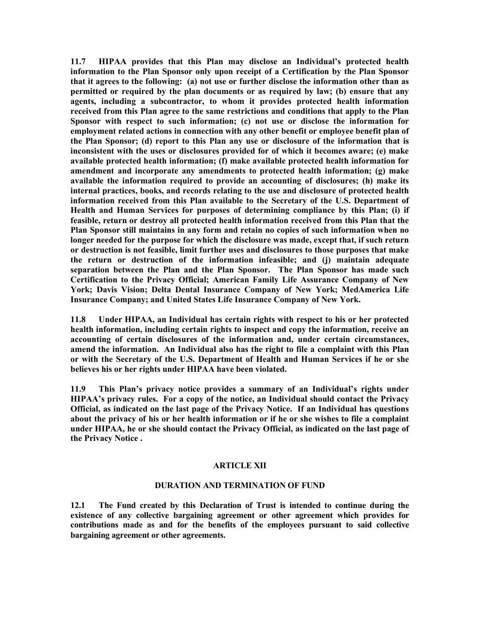11.7 HIPAA provides that this Plan may disclose an Individual's protected health information to the Plan Sponsor only upon receipt of a Certification by the Plan Sponsor that it agrees to the following: (a) not use or further disclose the information other than as permitted or required by the plan documents or as required by law; (b) ensure that any agents, including a subcontractor, to whom it provides protected health information received from this Plan agree to the same restrictions and conditions that apply to the Plan Sponsor with respect to such information; (c) not use or disclose the information for employment related actions in connection with any other benefit or employee benefit plan of the Plan Sponsor; (d) report to this Plan any use or disclosure of the information that is inconsistent with the uses or disclosures provided for of which it becomes aware; (e) make available protected health information; (f) make available protected health information for amendment and incorporate any amendments to protected health information; (g) make available the information required to provide an accounting of disclosures; (h) make its internal practices, books, and records relating to the use and disclosure of protected health information received from this Plan available to the Secretary of the U.S. Department of Health and Human Services for purposes of determining compliance by this Plan; (i) if feasible, return or destroy all protected health information received from this Plan that the Plan Sponsor still maintains in any form and retain no copies of such information when no longer needed for the purpose for which the disclosure was made, except that, if such return or destruction is not feasible, limit further uses and disclosures to those purposes that make the return or destruction of the information infeasible; and (j) maintain adequate separation between the Plan and the Plan Sponsor. The Plan Sponsor has made such Certification to the Privacy Official; American Family Life Assurance Company of New York; Davis Vision; Delta Dental Insurance Company of New York; MedAmerica Life Insurance Company; and United States Life Insurance Company of New York.

11.8 Under HIPAA, an Individual has certain rights with respect to his or her protected health information, including certain rights to inspect and copy the information, receive an accounting of certain disclosures of the information and, under certain circumstances, amend the information. An Individual also has the right to file a complaint with this Plan or with the Secretary of the U.S. Department of Health and Human Services if he or she believes his or her rights under HIPAA have been violated.

11.9 This Plan's privacy notice provides a summary of an Individual's rights under HIPAA's privacy rules. For a copy of the notice, an Individual should contact the Privacy Official, as indicated on the last page of the Privacy Notice. If an Individual has questions about the privacy of his or her health information or if he or she wishes to file a complaint under HIPAA, he or she should contact the Privacy Official, as indicated on the last page of the Privacy Notice .

#### ARTICLE XII

#### DURATION AND TERMINATION OF FUND

12.1 The Fund created by this Declaration of Trust is intended to continue during the existence of any collective bargaining agreement or other agreement which provides for contributions made as and for the benefits of the employees pursuant to said collective bargaining agreement or other agreements.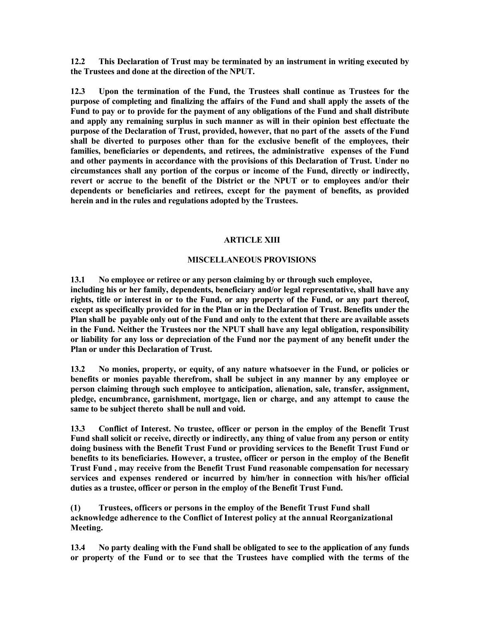12.2 This Declaration of Trust may be terminated by an instrument in writing executed by the Trustees and done at the direction of the NPUT.

12.3 Upon the termination of the Fund, the Trustees shall continue as Trustees for the purpose of completing and finalizing the affairs of the Fund and shall apply the assets of the Fund to pay or to provide for the payment of any obligations of the Fund and shall distribute and apply any remaining surplus in such manner as will in their opinion best effectuate the purpose of the Declaration of Trust, provided, however, that no part of the assets of the Fund shall be diverted to purposes other than for the exclusive benefit of the employees, their families, beneficiaries or dependents, and retirees, the administrative expenses of the Fund and other payments in accordance with the provisions of this Declaration of Trust. Under no circumstances shall any portion of the corpus or income of the Fund, directly or indirectly, revert or accrue to the benefit of the District or the NPUT or to employees and/or their dependents or beneficiaries and retirees, except for the payment of benefits, as provided herein and in the rules and regulations adopted by the Trustees.

#### ARTICLE XIII

#### MISCELLANEOUS PROVISIONS

13.1 No employee or retiree or any person claiming by or through such employee, including his or her family, dependents, beneficiary and/or legal representative, shall have any rights, title or interest in or to the Fund, or any property of the Fund, or any part thereof, except as specifically provided for in the Plan or in the Declaration of Trust. Benefits under the Plan shall be payable only out of the Fund and only to the extent that there are available assets in the Fund. Neither the Trustees nor the NPUT shall have any legal obligation, responsibility or liability for any loss or depreciation of the Fund nor the payment of any benefit under the Plan or under this Declaration of Trust.

13.2 No monies, property, or equity, of any nature whatsoever in the Fund, or policies or benefits or monies payable therefrom, shall be subject in any manner by any employee or person claiming through such employee to anticipation, alienation, sale, transfer, assignment, pledge, encumbrance, garnishment, mortgage, lien or charge, and any attempt to cause the same to be subject thereto shall be null and void.

13.3 Conflict of Interest. No trustee, officer or person in the employ of the Benefit Trust Fund shall solicit or receive, directly or indirectly, any thing of value from any person or entity doing business with the Benefit Trust Fund or providing services to the Benefit Trust Fund or benefits to its beneficiaries. However, a trustee, officer or person in the employ of the Benefit Trust Fund , may receive from the Benefit Trust Fund reasonable compensation for necessary services and expenses rendered or incurred by him/her in connection with his/her official duties as a trustee, officer or person in the employ of the Benefit Trust Fund.

(1) Trustees, officers or persons in the employ of the Benefit Trust Fund shall acknowledge adherence to the Conflict of Interest policy at the annual Reorganizational Meeting.

13.4 No party dealing with the Fund shall be obligated to see to the application of any funds or property of the Fund or to see that the Trustees have complied with the terms of the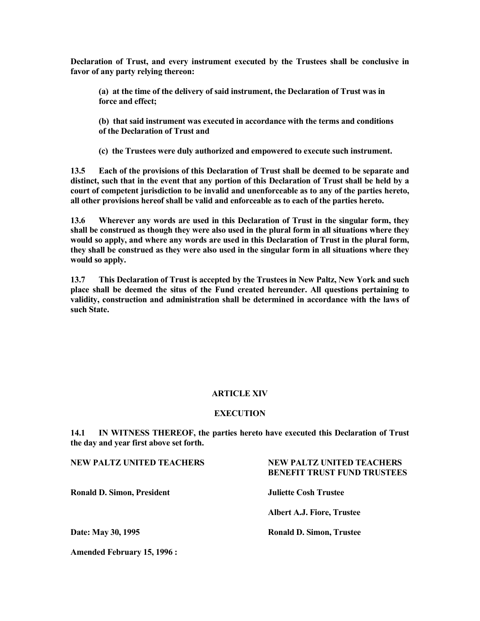Declaration of Trust, and every instrument executed by the Trustees shall be conclusive in favor of any party relying thereon:

 (a) at the time of the delivery of said instrument, the Declaration of Trust was in force and effect;

 (b) that said instrument was executed in accordance with the terms and conditions of the Declaration of Trust and

(c) the Trustees were duly authorized and empowered to execute such instrument.

13.5 Each of the provisions of this Declaration of Trust shall be deemed to be separate and distinct, such that in the event that any portion of this Declaration of Trust shall be held by a court of competent jurisdiction to be invalid and unenforceable as to any of the parties hereto, all other provisions hereof shall be valid and enforceable as to each of the parties hereto.

13.6 Wherever any words are used in this Declaration of Trust in the singular form, they shall be construed as though they were also used in the plural form in all situations where they would so apply, and where any words are used in this Declaration of Trust in the plural form, they shall be construed as they were also used in the singular form in all situations where they would so apply.

13.7 This Declaration of Trust is accepted by the Trustees in New Paltz, New York and such place shall be deemed the situs of the Fund created hereunder. All questions pertaining to validity, construction and administration shall be determined in accordance with the laws of such State.

#### ARTICLE XIV

#### **EXECUTION**

14.1 IN WITNESS THEREOF, the parties hereto have executed this Declaration of Trust the day and year first above set forth.

NEW PALTZ UNITED TEACHERS NEW PALTZ UNITED TEACHERS BENEFIT TRUST FUND TRUSTEES Ronald D. Simon, President Juliette Cosh Trustee Albert A.J. Fiore, Trustee Date: May 30, 1995 Ronald D. Simon, Trustee

Amended February 15, 1996 :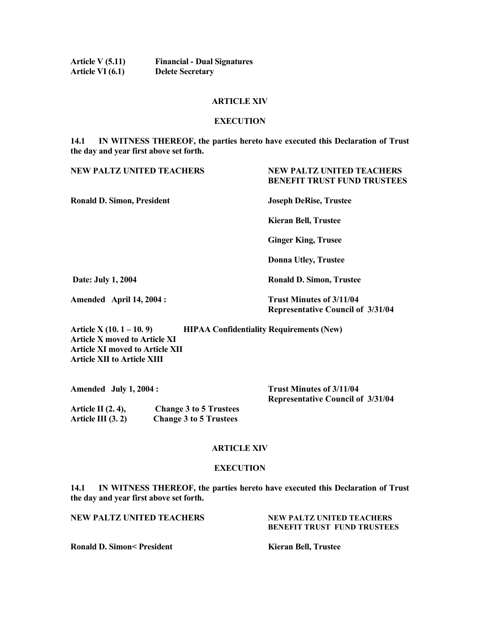| <b>Article V (5.11)</b> | <b>Financial - Dual Signatures</b> |
|-------------------------|------------------------------------|
| Article VI (6.1)        | <b>Delete Secretary</b>            |

#### ARTICLE XIV

#### **EXECUTION**

#### 14.1 IN WITNESS THEREOF, the parties hereto have executed this Declaration of Trust the day and year first above set forth.

### NEW PALTZ UNITED TEACHERS NEW PALTZ UNITED TEACHERS BENEFIT TRUST FUND TRUSTEES Ronald D. Simon, President Joseph DeRise, Trustee Kieran Bell, Trustee Ginger King, Trusee Donna Utley, Trustee Date: July 1, 2004 Ronald D. Simon, Trustee Amended April 14, 2004 : Trust Minutes of 3/11/04 Representative Council of 3/31/04 Article  $X(10.1 - 10.9)$  HIPAA Confidentiality Requirements (New)

Article X moved to Article XI Article XI moved to Article XII Article XII to Article XIII

| Amended July $1, 2004$ : |  | <b>Trust Minutes of 3/11/04</b>          |
|--------------------------|--|------------------------------------------|
|                          |  | <b>Representative Council of 3/31/04</b> |
| $\cdots$                 |  |                                          |

Article II (2. 4), Change 3 to 5 Trustees Article III (3. 2) Change 3 to 5 Trustees

#### ARTICLE XIV

#### **EXECUTION**

14.1 IN WITNESS THEREOF, the parties hereto have executed this Declaration of Trust the day and year first above set forth.

NEW PALTZ UNITED TEACHERS NEW PALTZ UNITED TEACHERS

BENEFIT TRUST FUND TRUSTEES

Ronald D. Simon< President Kieran Bell, Trustee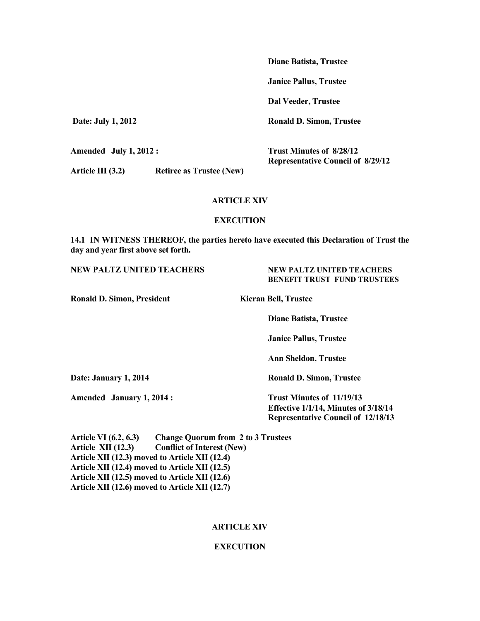Diane Batista, Trustee

Janice Pallus, Trustee

Dal Veeder, Trustee

Date: July 1, 2012 Ronald D. Simon, Trustee

Representative Council of 8/29/12

Amended July 1, 2012 : Trust Minutes of 8/28/12

Article III (3.2) Retiree as Trustee (New)

ARTICLE XIV

#### **EXECUTION**

14.1 IN WITNESS THEREOF, the parties hereto have executed this Declaration of Trust the day and year first above set forth.

#### NEW PALTZ UNITED TEACHERS NEW PALTZ UNITED TEACHERS

BENEFIT TRUST FUND TRUSTEES

Ronald D. Simon, President Kieran Bell, Trustee

Diane Batista, Trustee

Janice Pallus, Trustee

Ann Sheldon, Trustee

Date: January 1, 2014 **Ronald D. Simon, Trustee** 

Amended January 1, 2014 : Trust Minutes of 11/19/13

Effective 1/1/14, Minutes of 3/18/14

Representative Council of 12/18/13

Article VI (6.2, 6.3) Change Quorum from 2 to 3 Trustees Article XII (12.3) Conflict of Interest (New) Article XII (12.3) moved to Article XII (12.4) Article XII (12.4) moved to Article XII (12.5) Article XII (12.5) moved to Article XII (12.6) Article XII (12.6) moved to Article XII (12.7)

#### ARTICLE XIV

#### **EXECUTION**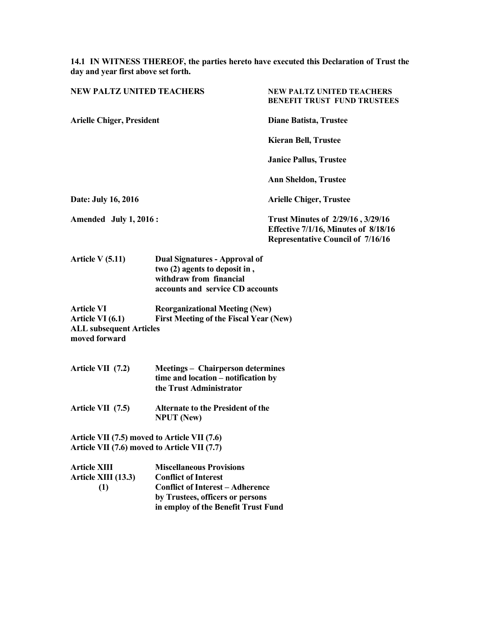14.1 IN WITNESS THEREOF, the parties hereto have executed this Declaration of Trust the day and year first above set forth.

| <b>NEW PALTZ UNITED TEACHERS</b>                                                             |                                                                                                                                                                                      | <b>NEW PALTZ UNITED TEACHERS</b><br><b>BENEFIT TRUST FUND TRUSTEES</b>                                                       |  |
|----------------------------------------------------------------------------------------------|--------------------------------------------------------------------------------------------------------------------------------------------------------------------------------------|------------------------------------------------------------------------------------------------------------------------------|--|
| <b>Arielle Chiger, President</b>                                                             |                                                                                                                                                                                      | <b>Diane Batista, Trustee</b>                                                                                                |  |
|                                                                                              |                                                                                                                                                                                      | <b>Kieran Bell, Trustee</b>                                                                                                  |  |
|                                                                                              |                                                                                                                                                                                      | <b>Janice Pallus, Trustee</b>                                                                                                |  |
|                                                                                              |                                                                                                                                                                                      | <b>Ann Sheldon, Trustee</b>                                                                                                  |  |
| Date: July 16, 2016                                                                          |                                                                                                                                                                                      | <b>Arielle Chiger, Trustee</b>                                                                                               |  |
| Amended July 1, 2016:                                                                        |                                                                                                                                                                                      | Trust Minutes of 2/29/16, 3/29/16<br><b>Effective 7/1/16, Minutes of 8/18/16</b><br><b>Representative Council of 7/16/16</b> |  |
| Article $V(5.11)$                                                                            | <b>Dual Signatures - Approval of</b><br>two (2) agents to deposit in,<br>withdraw from financial<br>accounts and service CD accounts                                                 |                                                                                                                              |  |
| <b>Article VI</b><br>Article VI (6.1)<br><b>ALL subsequent Articles</b><br>moved forward     | <b>Reorganizational Meeting (New)</b><br><b>First Meeting of the Fiscal Year (New)</b>                                                                                               |                                                                                                                              |  |
| Article VII (7.2)                                                                            | <b>Meetings - Chairperson determines</b><br>time and location - notification by<br>the Trust Administrator                                                                           |                                                                                                                              |  |
| Article VII (7.5)                                                                            | <b>Alternate to the President of the</b><br><b>NPUT</b> (New)                                                                                                                        |                                                                                                                              |  |
| Article VII (7.5) moved to Article VII (7.6)<br>Article VII (7.6) moved to Article VII (7.7) |                                                                                                                                                                                      |                                                                                                                              |  |
| <b>Article XIII</b><br>Article XIII (13.3)<br>(1)                                            | <b>Miscellaneous Provisions</b><br><b>Conflict of Interest</b><br><b>Conflict of Interest - Adherence</b><br>by Trustees, officers or persons<br>in employ of the Benefit Trust Fund |                                                                                                                              |  |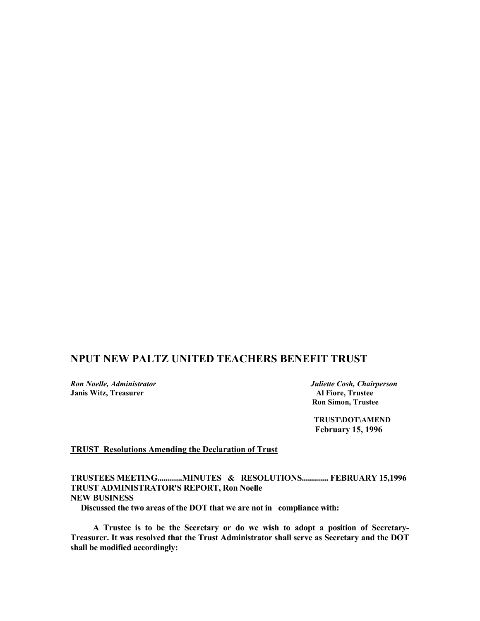#### NPUT NEW PALTZ UNITED TEACHERS BENEFIT TRUST

Ron Noelle, Administrator **No. 2008** Juliette Cosh, Chairperson Janis Witz, Treasurer Al Fiore, Trustee

Ron Simon, Trustee

 TRUST\DOT\AMEND February 15, 1996

#### TRUST Resolutions Amending the Declaration of Trust

TRUSTEES MEETING............MINUTES & RESOLUTIONS............. FEBRUARY 15,1996 TRUST ADMINISTRATOR'S REPORT, Ron Noelle NEW BUSINESS

Discussed the two areas of the DOT that we are not in compliance with:

 A Trustee is to be the Secretary or do we wish to adopt a position of Secretary-Treasurer. It was resolved that the Trust Administrator shall serve as Secretary and the DOT shall be modified accordingly: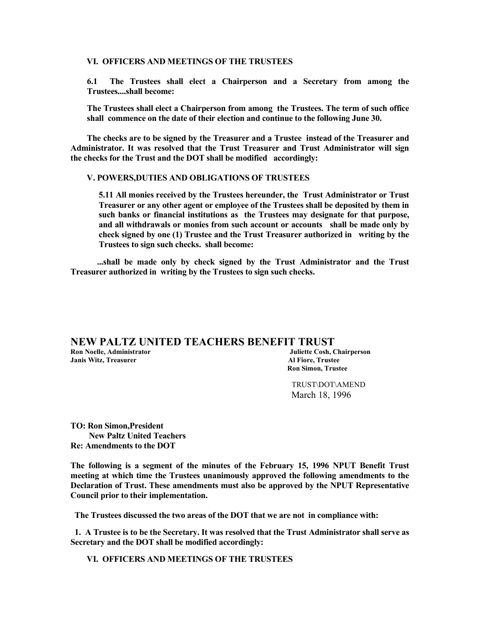#### VI. OFFICERS AND MEETINGS OF THE TRUSTEES

6.1 The Trustees shall elect a Chairperson and a Secretary from among the Trustees....shall become:

The Trustees shall elect a Chairperson from among the Trustees. The term of such office shall commence on the date of their election and continue to the following June 30.

 The checks are to be signed by the Treasurer and a Trustee instead of the Treasurer and Administrator. It was resolved that the Trust Treasurer and Trust Administrator will sign the checks for the Trust and the DOT shall be modified accordingly:

#### V. POWERS,DUTIES AND OBLIGATIONS OF TRUSTEES

5.11 All monies received by the Trustees hereunder, the Trust Administrator or Trust Treasurer or any other agent or employee of the Trustees shall be deposited by them in such banks or financial institutions as the Trustees may designate for that purpose, and all withdrawals or monies from such account or accounts shall be made only by check signed by one (1) Trustee and the Trust Treasurer authorized in writing by the Trustees to sign such checks. shall become:

 ...shall be made only by check signed by the Trust Administrator and the Trust Treasurer authorized in writing by the Trustees to sign such checks.

#### NEW PALTZ UNITED TEACHERS BENEFIT TRUST Ron Noelle, Administrator Juliette Cosh, Chairperson Janis Witz, Treasurer Al Fiore, Trustee

Ron Simon, Trustee

 TRUST\DOT\AMEND March 18, 1996

TO: Ron Simon,President New Paltz United Teachers Re: Amendments to the DOT

The following is a segment of the minutes of the February 15, 1996 NPUT Benefit Trust meeting at which time the Trustees unanimously approved the following amendments to the Declaration of Trust. These amendments must also be approved by the NPUT Representative Council prior to their implementation.

The Trustees discussed the two areas of the DOT that we are not in compliance with:

 1. A Trustee is to be the Secretary. It was resolved that the Trust Administrator shall serve as Secretary and the DOT shall be modified accordingly:

VI. OFFICERS AND MEETINGS OF THE TRUSTEES